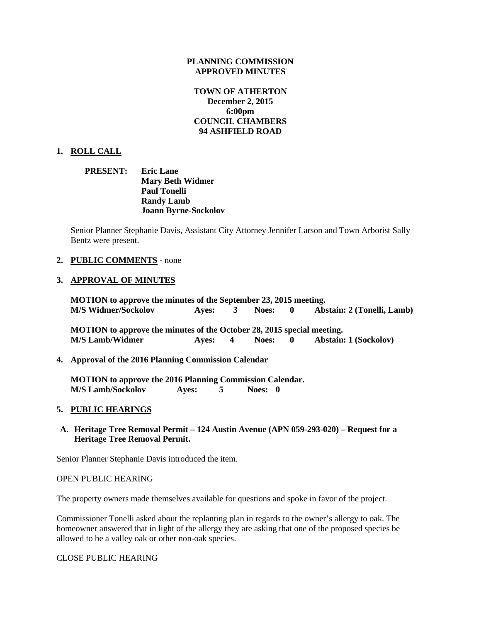#### **PLANNING COMMISSION APPROVED MINUTES**

# **TOWN OF ATHERTON December 2, 2015 6:00pm COUNCIL CHAMBERS 94 ASHFIELD ROAD**

#### **1. ROLL CALL**

**PRESENT: Eric Lane Mary Beth Widmer Paul Tonelli Randy Lamb Joann Byrne-Sockolov**

Senior Planner Stephanie Davis, Assistant City Attorney Jennifer Larson and Town Arborist Sally Bentz were present.

#### **2. PUBLIC COMMENTS** - none

#### **3. APPROVAL OF MINUTES**

**MOTION to approve the minutes of the September 23, 2015 meeting. M/S Widmer/Sockolov Ayes: 3 Noes: 0 Abstain: 2 (Tonelli, Lamb)**

**MOTION to approve the minutes of the October 28, 2015 special meeting. M/S Lamb/Widmer Ayes: 4 Noes: 0 Abstain: 1 (Sockolov)**

#### **4. Approval of the 2016 Planning Commission Calendar**

**MOTION to approve the 2016 Planning Commission Calendar. M/S Lamb/Sockolov Ayes: 5 Noes: 0**

#### **5. PUBLIC HEARINGS**

#### **A. Heritage Tree Removal Permit – 124 Austin Avenue (APN 059-293-020) – Request for a Heritage Tree Removal Permit.**

Senior Planner Stephanie Davis introduced the item.

#### OPEN PUBLIC HEARING

The property owners made themselves available for questions and spoke in favor of the project.

Commissioner Tonelli asked about the replanting plan in regards to the owner's allergy to oak. The homeowner answered that in light of the allergy they are asking that one of the proposed species be allowed to be a valley oak or other non-oak species.

CLOSE PUBLIC HEARING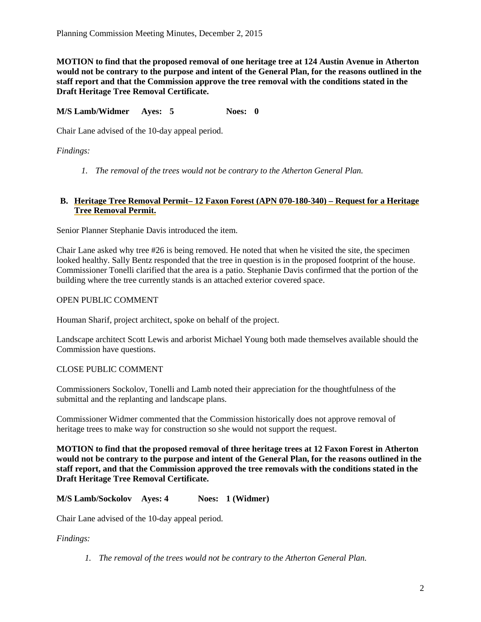**MOTION to find that the proposed removal of one heritage tree at 124 Austin Avenue in Atherton would not be contrary to the purpose and intent of the General Plan, for the reasons outlined in the staff report and that the Commission approve the tree removal with the conditions stated in the Draft Heritage Tree Removal Certificate.**

**M/S Lamb/Widmer Ayes: 5 Noes: 0**

Chair Lane advised of the 10-day appeal period.

## *Findings:*

*1. The removal of the trees would not be contrary to the Atherton General Plan.*

## **B. Heritage Tree Removal Permit– 12 Faxon Forest (APN 070-180-340) – Request for a Heritage Tree Removal Permit.**

Senior Planner Stephanie Davis introduced the item.

Chair Lane asked why tree #26 is being removed. He noted that when he visited the site, the specimen looked healthy. Sally Bentz responded that the tree in question is in the proposed footprint of the house. Commissioner Tonelli clarified that the area is a patio. Stephanie Davis confirmed that the portion of the building where the tree currently stands is an attached exterior covered space.

#### OPEN PUBLIC COMMENT

Houman Sharif, project architect, spoke on behalf of the project.

Landscape architect Scott Lewis and arborist Michael Young both made themselves available should the Commission have questions.

## CLOSE PUBLIC COMMENT

Commissioners Sockolov, Tonelli and Lamb noted their appreciation for the thoughtfulness of the submittal and the replanting and landscape plans.

Commissioner Widmer commented that the Commission historically does not approve removal of heritage trees to make way for construction so she would not support the request.

**MOTION to find that the proposed removal of three heritage trees at 12 Faxon Forest in Atherton would not be contrary to the purpose and intent of the General Plan, for the reasons outlined in the staff report, and that the Commission approved the tree removals with the conditions stated in the Draft Heritage Tree Removal Certificate.**

**M/S Lamb/Sockolov Ayes: 4 Noes: 1 (Widmer)**

Chair Lane advised of the 10-day appeal period.

## *Findings:*

*1. The removal of the trees would not be contrary to the Atherton General Plan.*